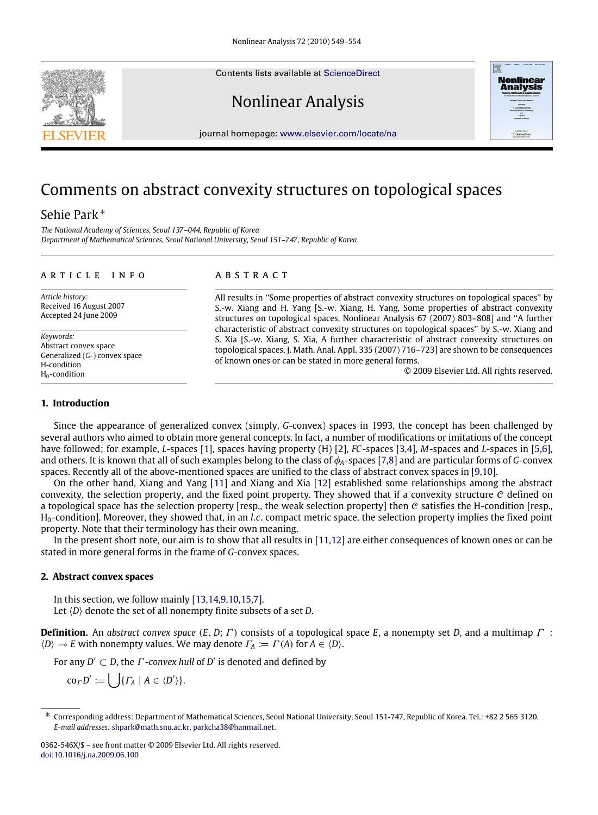Contents lists available at [ScienceDirect](http://www.elsevier.com/locate/na)

# Nonlinear Analysis



journal homepage: [www.elsevier.com/locate/na](http://www.elsevier.com/locate/na)

## Comments on abstract convexity structures on topological spaces

### Sehie Park[∗](#page-0-0)

*The National Academy of Sciences, Seoul 137–044, Republic of Korea Department of Mathematical Sciences, Seoul National University, Seoul 151–747, Republic of Korea*

#### a r t i c l e i n f o

*Article history:* Received 16 August 2007 Accepted 24 June 2009

*Keywords:* Abstract convex space Generalized (*G*-) convex space H-condition  $H_0$ -condition

#### a b s t r a c t

All results in ''Some properties of abstract convexity structures on topological spaces'' by S.-w. Xiang and H. Yang [S.-w. Xiang, H. Yang, Some properties of abstract convexity structures on topological spaces, Nonlinear Analysis 67 (2007) 803–808] and ''A further characteristic of abstract convexity structures on topological spaces'' by S.-w. Xiang and S. Xia [S.-w. Xiang, S. Xia, A further characteristic of abstract convexity structures on topological spaces, J. Math. Anal. Appl. 335 (2007) 716–723] are shown to be consequences of known ones or can be stated in more general forms.

© 2009 Elsevier Ltd. All rights reserved.

#### **1. Introduction**

Since the appearance of generalized convex (simply, *G*-convex) spaces in 1993, the concept has been challenged by several authors who aimed to obtain more general concepts. In fact, a number of modifications or imitations of the concept have followed; for example, *L*-spaces [\[1\]](#page-5-0), spaces having property (H) [\[2\]](#page-5-1), *FC*-spaces [\[3,](#page-5-2)[4\]](#page-5-3), *M*-spaces and *L*-spaces in [\[5,](#page-5-4)[6\]](#page-5-5), and others. It is known that all of such examples belong to the class of φ*A*-spaces [\[7](#page-5-6)[,8\]](#page-5-7) and are particular forms of *G*-convex spaces. Recently all of the above-mentioned spaces are unified to the class of abstract convex spaces in [\[9](#page-5-8)[,10\]](#page-5-9).

On the other hand, Xiang and Yang [\[11\]](#page-5-10) and Xiang and Xia [\[12\]](#page-5-11) established some relationships among the abstract convexity, the selection property, and the fixed point property. They showed that if a convexity structure  $C$  defined on a topological space has the selection property [resp., the weak selection property] then  $C$  satisfies the H-condition [resp., H<sub>0</sub>-condition]. Moreover, they showed that, in an *l.c.* compact metric space, the selection property implies the fixed point property. Note that their terminology has their own meaning.

In the present short note, our aim is to show that all results in [\[11,](#page-5-10)[12\]](#page-5-11) are either consequences of known ones or can be stated in more general forms in the frame of *G*-convex spaces.

#### **2. Abstract convex spaces**

In this section, we follow mainly [\[13](#page-5-12)[,14](#page-5-13)[,9,](#page-5-8)[10](#page-5-9)[,15,](#page-5-14)[7\]](#page-5-6). Let  $\langle D \rangle$  denote the set of all nonempty finite subsets of a set *D*.

**Definition.** An *abstract convex space* (*E*, *D*; Γ ) consists of a topological space *E*, a nonempty set *D*, and a multimap Γ :  $\langle D \rangle \rightarrow E$  with nonempty values. We may denote  $\Gamma_A := \Gamma(A)$  for  $A \in \langle D \rangle$ .

For any  $D' \subset D$ , the  $\Gamma$ -*convex hull* of  $D'$  is denoted and defined by

 $\operatorname{co}_{\Gamma} D' := \bigcup \{ \Gamma_A \mid A \in \langle D' \rangle \}.$ 



<span id="page-0-0"></span><sup>∗</sup> Corresponding address: Department of Mathematical Sciences, Seoul National University, Seoul 151-747, Republic of Korea. Tel.: +82 2 565 3120. *E-mail addresses:* [shpark@math.snu.ac.kr,](mailto:shpark@math.snu.ac.kr) [parkcha38@hanmail.net.](mailto:parkcha38@hanmail.net)

<sup>0362-546</sup>X/\$ – see front matter © 2009 Elsevier Ltd. All rights reserved. [doi:10.1016/j.na.2009.06.100](http://dx.doi.org/10.1016/j.na.2009.06.100)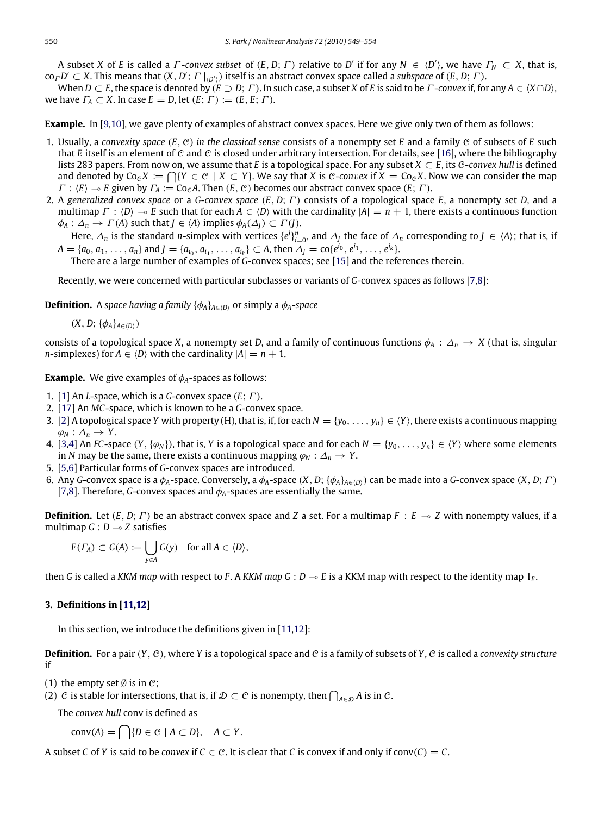A subset *X* of *E* is called a *Γ*-*convex subset* of  $(E, D; \Gamma)$  relative to *D'* if for any  $N \in \langle D' \rangle$ , we have  $\Gamma_N \subset X$ , that is,  $co_\Gamma D' \subset X$ . This means that  $(X, D'; T|_{(D')})$  itself is an abstract convex space called a *subspace* of  $(E, D; T)$ .

When  $D \subset E$ , the space is denoted by  $(E \supset D; \Gamma)$ . In such case, a subset *X* of *E* is said to be  $\Gamma$ -convex if, for any  $A \in \langle X \cap D \rangle$ , we have  $\Gamma_A \subset X$ . In case  $E = D$ , let  $(E; \Gamma) := (E, E; \Gamma)$ .

**Example.** In [\[9](#page-5-8)[,10\]](#page-5-9), we gave plenty of examples of abstract convex spaces. Here we give only two of them as follows:

- 1. Usually, a *convexity space* (*E*, C) *in the classical sense* consists of a nonempty set *E* and a family C of subsets of *E* such that *E* itself is an element of C and C is closed under arbitrary intersection. For details, see [\[16\]](#page-5-15), where the bibliography lists 283 papers. From now on, we assume that *E* is a topological space. For any subset  $X \subset E$ , its C-*convex hull* is defined and denoted by  $Co_{c}X := \bigcap \{Y \in C \mid X \subset Y\}$ . We say that *X* is *C*-*convex* if  $X = Co_{c}X$ . Now we can consider the map  $\Gamma : \langle E \rangle \to E$  given by  $\Gamma_A := \text{Co}_c A$ . Then  $(E, C)$  becomes our abstract convex space  $(E; \Gamma)$ .
- 2. A *generalized convex space* or a *G*-*convex space* (*E*, *D*; Γ ) consists of a topological space *E*, a nonempty set *D*, and a multimap  $\Gamma : \langle D \rangle \to E$  such that for each  $A \in \langle D \rangle$  with the cardinality  $|A| = n + 1$ , there exists a continuous function  $\phi_A : \Delta_n \to \Gamma(A)$  such that  $J \in \langle A \rangle$  implies  $\phi_A(\Delta) \subset \Gamma(J)$ .

Here,  $\Delta_n$  is the standard *n*-simplex with vertices  $\{e^i\}_{i=0}^n$ , and  $\Delta_j$  the face of  $\Delta_n$  corresponding to  $J \in \langle A \rangle$ ; that is, if  $A = \{a_0, a_1, \ldots, a_n\}$  and  $J = \{a_{i_0}, a_{i_1}, \ldots, a_{i_k}\} \subset A$ , then  $\Delta_J = \text{co}\{e^{i_0}, e^{i_1}, \ldots, e^{i_k}\}.$ 

There are a large number of examples of *G*-convex spaces; see [\[15\]](#page-5-14) and the references therein.

Recently, we were concerned with particular subclasses or variants of *G*-convex spaces as follows [\[7,](#page-5-6)[8\]](#page-5-7):

**Definition.** A *space having a family*  $\{\phi_A\}_{A \in \langle D \rangle}$  or simply a  $\phi_A$ -*space* 

 $(X, D; {\phi_A}_{A \in (D)})$ 

consists of a topological space *X*, a nonempty set *D*, and a family of continuous functions  $\phi_A : \Delta_n \to X$  (that is, singular *n*-simplexes) for  $A \in \langle D \rangle$  with the cardinality  $|A| = n + 1$ .

**Example.** We give examples of  $\phi_A$ -spaces as follows:

- 1. [\[1\]](#page-5-0) An *L*-space, which is a *G*-convex space (*E*; Γ ).
- 2. [\[17\]](#page-5-16) An *MC*-space, which is known to be a *G*-convex space.
- 3. [\[2\]](#page-5-1) A topological space *Y* with property (H), that is, if, for each  $N = \{v_0, \ldots, v_n\} \in \langle Y \rangle$ , there exists a continuous mapping  $\varphi_N : \Delta_n \to Y$ .
- 4. [\[3,](#page-5-2)[4\]](#page-5-3) An *FC*-space  $(Y, \{\varphi_N\})$ , that is, *Y* is a topological space and for each  $N = \{y_0, \ldots, y_n\} \in \langle Y \rangle$  where some elements in *N* may be the same, there exists a continuous mapping  $\varphi_N$  :  $\Delta_n \to Y$ .
- 5. [\[5,](#page-5-4)[6\]](#page-5-5) Particular forms of *G*-convex spaces are introduced.
- 6. Any *G*-convex space is a  $\phi_A$ -space. Conversely, a  $\phi_A$ -space  $(X, D; \{\phi_A\}_{A \in (D)}$  can be made into a *G*-convex space  $(X, D; \Gamma)$ [\[7,](#page-5-6)[8\]](#page-5-7). Therefore, *G*-convex spaces and  $\phi_A$ -spaces are essentially the same.

**Definition.** Let  $(E, D; \Gamma)$  be an abstract convex space and *Z* a set. For a multimap  $F : E \rightarrow Z$  with nonempty values, if a multimap  $G: D \rightarrow Z$  satisfies

$$
F(\Gamma_A) \subset G(A) := \bigcup_{y \in A} G(y) \quad \text{for all } A \in \langle D \rangle,
$$

then *G* is called a *KKM map* with respect to *F*. A *KKM map G* : *D*  $\sim$  *E* is a KKM map with respect to the identity map 1<sub>*E*</sub>.

#### **3. Definitions in [\[11,](#page-5-10)[12\]](#page-5-11)**

In this section, we introduce the definitions given in [\[11,](#page-5-10)[12\]](#page-5-11):

**Definition.** For a pair  $(Y, \mathcal{C})$ , where *Y* is a topological space and  $\mathcal{C}$  is a family of subsets of *Y*,  $\mathcal{C}$  is called a *convexity structure* if

- (1) the empty set  $\emptyset$  is in  $\mathcal{C}$ ;
- (2) C is stable for intersections, that is, if  $\mathcal{D} \subset \mathcal{C}$  is nonempty, then  $\bigcap_{A \in \mathcal{D}} A$  is in C.

The *convex hull* conv is defined as

$$
conv(A) = \bigcap \{ D \in \mathcal{C} \mid A \subset D \}, \quad A \subset Y.
$$

A subset *C* of *Y* is said to be *convex* if  $C \in \mathcal{C}$ . It is clear that *C* is convex if and only if conv(*C*) = *C*.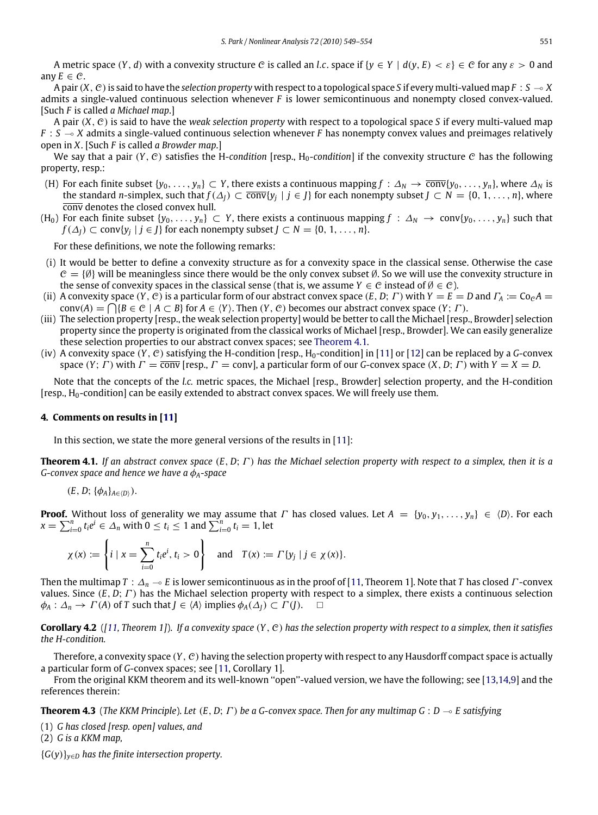A metric space  $(Y, d)$  with a convexity structure C is called an *l.c.* space if  $\{y \in Y \mid d(y, E) < \varepsilon\} \in C$  for any  $\varepsilon > 0$  and any  $E \in \mathcal{C}$ .

A pair  $(X, \mathcal{C})$  is said to have the *selection property* with respect to a topological space *S* if every multi-valued map  $F : S \to X$ admits a single-valued continuous selection whenever *F* is lower semicontinuous and nonempty closed convex-valued. [Such *F* is called *a Michael map*.]

A pair (*X*, C) is said to have the *weak selection property* with respect to a topological space *S* if every multi-valued map  $F : S \rightarrow X$  admits a single-valued continuous selection whenever *F* has nonempty convex values and preimages relatively open in *X*. [Such *F* is called *a Browder map*.]

We say that a pair  $(Y, \mathcal{C})$  satisfies the H-*condition* [resp., H<sub>0</sub>-condition] if the convexity structure  $\mathcal{C}$  has the following property, resp.:

- (H) For each finite subset  $\{y_0, \ldots, y_n\} \subset Y$ , there exists a continuous mapping  $f : \Delta_N \to \overline{conv}\{y_0, \ldots, y_n\}$ , where  $\Delta_N$  is the standard *n*-simplex, such that  $f(\Delta_j) \subset \overline{conv}\{y_j \mid j \in J\}$  for each nonempty subset  $J \subset N = \{0, 1, \ldots, n\}$ , where conv denotes the closed convex hull.
- (H<sub>0</sub>) For each finite subset {*y*<sub>0</sub>, . . . , *y*<sub>*n*</sub>} ⊂ *Y*, there exists a continuous mapping  $f : \Delta_N \to \text{conv}\{y_0, \ldots, y_n\}$  such that *f*( $\Delta$ *J*) ⊂ conv{*y<sub>j</sub>* | *j* ∈ *J*} for each nonempty subset *J* ⊂ *N* = {0, 1, . . . , *n*}.

For these definitions, we note the following remarks:

- (i) It would be better to define a convexity structure as for a convexity space in the classical sense. Otherwise the case  $C = \{\emptyset\}$  will be meaningless since there would be the only convex subset  $\emptyset$ . So we will use the convexity structure in the sense of convexity spaces in the classical sense (that is, we assume  $Y \in \mathcal{C}$  instead of  $\emptyset \in \mathcal{C}$ ).
- (ii) A convexity space (*Y*, *C*) is a particular form of our abstract convex space (*E*, *D*; *Γ*) with  $Y = E = D$  and  $\Gamma_A := CoeA$  $conv(A) = \bigcap \{B \in \mathcal{C} \mid A \subset B\}$  for  $A \in \langle Y \rangle$ . Then  $(Y, \mathcal{C})$  becomes our abstract convex space  $(Y; \Gamma)$ .
- (iii) The selection property [resp., the weak selection property] would be better to call the Michael [resp., Browder] selection property since the property is originated from the classical works of Michael [resp., Browder]. We can easily generalize these selection properties to our abstract convex spaces; see [Theorem 4.1.](#page-2-0)
- (iv) A convexity space  $(Y, C)$  satisfying the H-condition [resp., H<sub>0</sub>-condition] in [\[11\]](#page-5-10) or [\[12\]](#page-5-11) can be replaced by a *G*-convex space  $(Y; \Gamma)$  with  $\Gamma = \overline{\text{conv}}$  [resp.,  $\Gamma = \text{conv}$ ], a particular form of our *G*-convex space  $(X, D; \Gamma)$  with  $Y = X = D$ .

Note that the concepts of the *l.c.* metric spaces, the Michael [resp., Browder] selection property, and the H-condition  $[resp., H<sub>0</sub>-condition]$  can be easily extended to abstract convex spaces. We will freely use them.

#### **4. Comments on results in [\[11\]](#page-5-10)**

<span id="page-2-0"></span>In this section, we state the more general versions of the results in [\[11\]](#page-5-10):

**Theorem 4.1.** *If an abstract convex space* (*E*, *D*; Γ ) *has the Michael selection property with respect to a simplex, then it is a G-convex space and hence we have a* φ*A-space*

 $(E, D; {\phi_A}_{A \in (D)}).$ 

**Proof.** Without loss of generality we may assume that  $\Gamma$  has closed values. Let  $A = \{y_0, y_1, \ldots, y_n\} \in \langle D \rangle$ . For each  $x = \sum_{i=0}^{n} t_i e^i \in \Delta_n$  with  $0 \le t_i \le 1$  and  $\sum_{i=0}^{n} t_i = 1$ , let

$$
\chi(x) := \left\{ i \mid x = \sum_{i=0}^{n} t_i e^i, t_i > 0 \right\} \text{ and } T(x) := \Gamma \{ y_j \mid j \in \chi(x) \}.
$$

Then the multimap *T* :  $\Delta_n$  → *E* is lower semicontinuous as in the proof of [\[11,](#page-5-10) Theorem 1]. Note that *T* has closed *Γ* -convex values. Since (*E*, *D*; Γ ) has the Michael selection property with respect to a simplex, there exists a continuous selection  $\phi_A : \Delta_n \to \Gamma(A)$  of *T* such that  $J \in \langle A \rangle$  implies  $\phi_A(\Delta_I) \subset \Gamma(J)$ .  $\Box$ 

**Corollary 4.2** (*[\[11,](#page-5-10) Theorem 1]*). *If a convexity space* (*Y*, C) *has the selection property with respect to a simplex, then it satisfies the H-condition.*

Therefore, a convexity space  $(Y, \mathcal{C})$  having the selection property with respect to any Hausdorff compact space is actually a particular form of *G*-convex spaces; see [\[11,](#page-5-10) Corollary 1].

From the original KKM theorem and its well-known ''open''-valued version, we have the following; see [\[13,](#page-5-12)[14](#page-5-13)[,9\]](#page-5-8) and the references therein:

<span id="page-2-1"></span>**Theorem 4.3** (*The KKM Principle*). Let  $(E, D; \Gamma)$  be a *G*-convex space. Then for any multimap  $G: D \to E$  satisfying

(1) *G has closed [resp. open] values, and*

(2) *G is a KKM map,*

{*G*(*y*)}*y*∈*<sup>D</sup> has the finite intersection property.*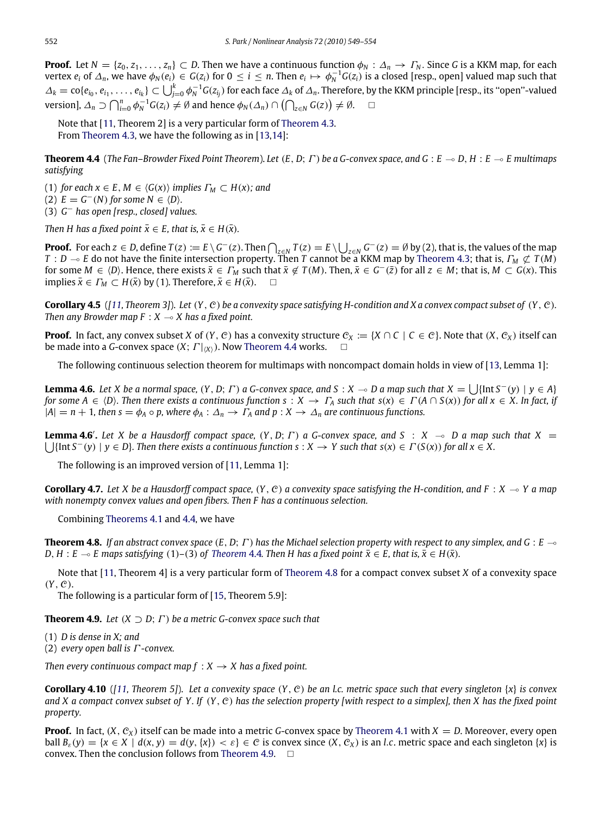**Proof.** Let  $N = \{z_0, z_1, \ldots, z_n\} \subset D$ . Then we have a continuous function  $\phi_N : \Delta_n \to \Gamma_N$ . Since *G* is a KKM map, for each vertex  $e_i$  of  $\Delta_n$ , we have  $\phi_N(e_i) \in G(z_i)$  for  $0 \leq i \leq n$ . Then  $e_i \mapsto \phi_N^{-1}G(z_i)$  is a closed [resp., open] valued map such that  $\Delta_k=\text{co}\{e_{i_0},e_{i_1},\ldots,e_{i_k}\}\subset\bigcup_{j=0}^k\phi_N^{-1}G(z_{i_j})$  for each face  $\Delta_k$  of  $\Delta_n$ . Therefore, by the KKM principle [resp., its "open"-valued  $\mathsf{version}$ ],  $\Delta_n \supset \bigcap_{i=0}^n \phi_N^{-1} G(z_i) \neq \emptyset$  and hence  $\phi_N(\Delta_n) \cap (\bigcap_{z \in N} G(z)) \neq \emptyset$ .

<span id="page-3-0"></span>Note that [\[11,](#page-5-10) Theorem 2] is a very particular form of [Theorem 4.3.](#page-2-1) From [Theorem 4.3,](#page-2-1) we have the following as in [\[13,](#page-5-12)[14\]](#page-5-13):

**Theorem 4.4** (*The Fan–Browder Fixed Point Theorem*). *Let*  $(E, D; \Gamma)$  *be a G-convex space, and G* :  $E \rightarrow D, H : E \rightarrow E$  *multimaps satisfying*

(1) *for each*  $x \in E$ ,  $M \in \langle G(x) \rangle$  *implies*  $\Gamma_M \subset H(x)$ *; and*  $(2)$   $E = G^{-}(N)$  for some  $N \in \langle D \rangle$ *.* 

(3) *G* <sup>−</sup> *has open [resp., closed] values.*

*Then H has a fixed point*  $\bar{x} \in E$ *, that is,*  $\bar{x} \in H(\bar{x})$ *.* 

**Proof.** For each  $z \in D$ , define  $T(z) := E \setminus G^{-}(z)$ . Then  $\bigcap_{z \in N} T(z) = E \setminus \bigcup_{z \in N} G^{-}(z) = \emptyset$  by (2), that is, the values of the map  $T : D \to E$  do not have the finite intersection property. Then *T* cannot be a KKM map by [Theorem 4.3;](#page-2-1) that is,  $\Gamma_M \not\subset T(M)$ for some  $M \in \langle D \rangle$ . Hence, there exists  $\bar{x} \in \Gamma_M$  such that  $\bar{x} \notin T(M)$ . Then,  $\bar{x} \in G^-(\bar{z})$  for all  $z \in M$ ; that is,  $M \subset G(x)$ . This implies  $\bar{x} \in \Gamma_M \subset H(\bar{x})$  by (1). Therefore,  $\bar{x} \in H(\bar{x})$ .  $\Box$ 

**Corollary 4.5** (*[\[11,](#page-5-10) Theorem 3]*). *Let* (*Y*, C) *be a convexity space satisfying H-condition and X a convex compact subset of* (*Y*, C)*. Then any Browder map F* :  $X \rightarrow X$  *has a fixed point.* 

**Proof.** In fact, any convex subset *X* of  $(Y, C)$  has a convexity structure  $C_X := \{X \cap C \mid C \in C\}$ . Note that  $(X, C_X)$  itself can be made into a *G*-convex space  $(X; T|_{X})$ . Now [Theorem 4.4](#page-3-0) works.

The following continuous selection theorem for multimaps with noncompact domain holds in view of [\[13,](#page-5-12) Lemma 1]:

**Lemma 4.6.** Let X be a normal space,  $(Y, D; \Gamma)$  a G-convex space, and  $S: X \to D$  a map such that  $X = \bigcup \{\text{Int } S^-(y) \mid y \in A\}$ *for some*  $A \in \langle D \rangle$ *. Then there exists a continuous function s* :  $X \to \Gamma_A$  *such that s*(*x*)  $\in \Gamma(A \cap S(x))$  *for all*  $x \in X$ *. In fact, if*  $|A| = n + 1$ , then  $s = \phi_A \circ p$ , where  $\phi_A : \Delta_n \to \Gamma_A$  and  $p : X \to \Delta_n$  are continuous functions.

**Lemma 4.6'.** Let *X* be a Hausdorff compact space,  $(Y, D; \Gamma)$  a G-convex space, and  $S : X \to D$  a map such that  $X = \bigcup \{\text{Int } S^-(y) \mid y \in D\}$ . Then there exists a continuous function  $s : X \to Y$  such that  $s(x) \in \Gamma(S(x))$  for all  $x \in$  $\{ \text{Int } S^{-}(y) \mid y \in D \}$ . Then there exists a continuous function  $s : X \to Y$  such that  $s(x) \in \Gamma(S(x))$  for all  $x \in X$ .

<span id="page-3-3"></span>The following is an improved version of [\[11,](#page-5-10) Lemma 1]:

**Corollary 4.7.** Let X be a Hausdorff compact space,  $(Y, C)$  a convexity space satisfying the H-condition, and  $F : X \to Y$  a map *with nonempty convex values and open fibers. Then F has a continuous selection.*

<span id="page-3-1"></span>Combining [Theorems 4.1](#page-2-0) and [4.4,](#page-3-0) we have

**Theorem 4.8.** If an abstract convex space  $(E, D; \Gamma)$  has the Michael selection property with respect to any simplex, and  $G: E \rightarrow$ *D*, *H* : *E*  $\sim$  *E* maps satisfying (1)–(3) of *[Theorem](#page-3-0)* 4.4*. Then H has a fixed point*  $\bar{x} \in E$ *, that is,*  $\bar{x} \in H(\bar{x})$ *.* 

Note that [\[11,](#page-5-10) Theorem 4] is a very particular form of [Theorem 4.8](#page-3-1) for a compact convex subset *X* of a convexity space (*Y*, C).

<span id="page-3-2"></span>The following is a particular form of [\[15,](#page-5-14) Theorem 5.9]:

**Theorem 4.9.** *Let*  $(X \supset D; \Gamma)$  *be a metric G-convex space such that* 

(1) *D is dense in X; and*

(2) *every open ball is* Γ *-convex.*

*Then every continuous compact map*  $f : X \rightarrow X$  has a fixed point.

**Corollary 4.10** (*[\[11,](#page-5-10) Theorem 5]*). *Let a convexity space* (*Y*, C) *be an l.c. metric space such that every singleton* {*x*} *is convex and X a compact convex subset of Y . If* (*Y*, C) *has the selection property [with respect to a simplex], then X has the fixed point property.*

**Proof.** In fact,  $(X, \mathcal{C}_X)$  itself can be made into a metric *G*-convex space by [Theorem 4.1](#page-2-0) with  $X = D$ . Moreover, every open ball  $B_{\varepsilon}(y) = \{x \in X \mid d(x, y) = d(y, \{x\}) < \varepsilon\} \in C$  is convex since  $(X, C_X)$  is an l.c. metric space and each singleton  $\{x\}$  is convex. Then the conclusion follows from [Theorem 4.9.](#page-3-2)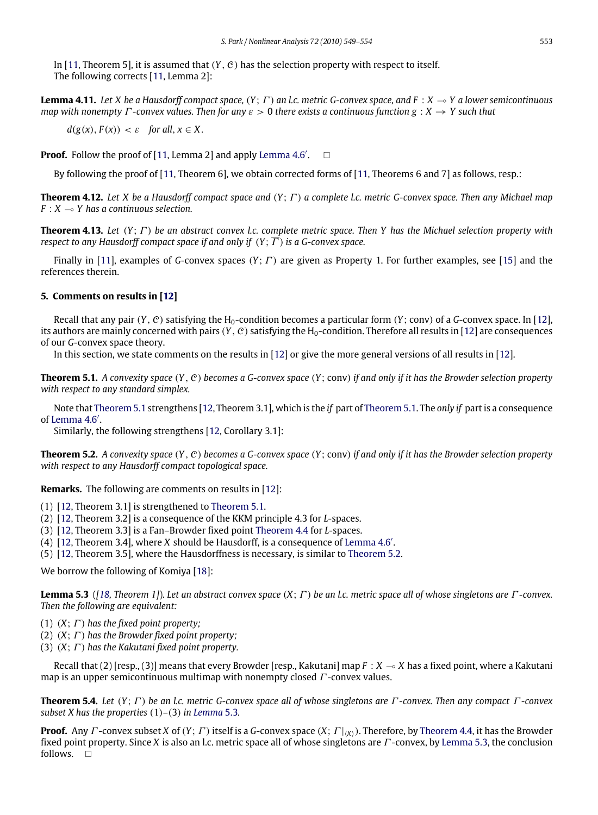In [\[11,](#page-5-10) Theorem 5], it is assumed that  $(Y, \mathcal{C})$  has the selection property with respect to itself. The following corrects [\[11,](#page-5-10) Lemma 2]:

**Lemma 4.11.** *Let X be a Hausdorff compact space,* (*Y*; Γ ) *an l.c. metric G-convex space, and F* : *X* ( *Y a lower semicontinuous map with nonempty* Γ *-convex values. Then for any* ε > 0 *there exists a continuous function g* : *X* → *Y such that*

<span id="page-4-4"></span> $d(g(x), F(x)) < \varepsilon$  for all,  $x \in X$ .

**Proof.** Follow the proof of  $[11, \text{Lemma 2}]$  $[11, \text{Lemma 2}]$  and apply Lemma  $4.6'$ .  $\Box$ 

<span id="page-4-5"></span>By following the proof of [\[11,](#page-5-10) Theorem 6], we obtain corrected forms of [11, Theorems 6 and 7] as follows, resp.:

**Theorem 4.12.** *Let X be a Hausdorff compact space and* (*Y*; Γ ) *a complete l.c. metric G-convex space. Then any Michael map*  $F: X \rightarrow Y$  has a continuous selection.

**Theorem 4.13.** *Let* (*Y*; Γ ) *be an abstract convex l.c. complete metric space. Then Y has the Michael selection property with respect to any Hausdorff compact space if and only if*  $(Y; \overline{F})$  *is a G-convex space.* 

Finally in [\[11\]](#page-5-10), examples of *G*-convex spaces (*Y*; Γ ) are given as Property 1. For further examples, see [\[15\]](#page-5-14) and the references therein.

#### **5. Comments on results in [\[12\]](#page-5-11)**

Recall that any pair  $(Y, \mathcal{C})$  satisfying the H<sub>0</sub>-condition becomes a particular form  $(Y; conv)$  of a *G*-convex space. In [\[12\]](#page-5-11), its authors are mainly concerned with pairs  $(Y, \mathcal{C})$  satisfying the H<sub>0</sub>-condition. Therefore all results in [\[12\]](#page-5-11) are consequences of our *G*-convex space theory.

<span id="page-4-0"></span>In this section, we state comments on the results in [\[12\]](#page-5-11) or give the more general versions of all results in [\[12\]](#page-5-11).

**Theorem 5.1.** *A convexity space* (*Y*, C) *becomes a G-convex space* (*Y*; conv) *if and only if it has the Browder selection property with respect to any standard simplex.*

Note that [Theorem 5.1](#page-4-0) strengthens [\[12,](#page-5-11) Theorem 3.1], which is the *if* part of [Theorem 5.1.](#page-4-0) The *only if* part is a consequence of [Lemma 4.6](#page-3-3)'.

<span id="page-4-1"></span>Similarly, the following strengthens [\[12,](#page-5-11) Corollary 3.1]:

**Theorem 5.2.** *A convexity space* (*Y*, C) *becomes a G-convex space* (*Y*; conv) *if and only if it has the Browder selection property with respect to any Hausdorff compact topological space.*

**Remarks.** The following are comments on results in [\[12\]](#page-5-11):

- (1) [\[12,](#page-5-11) Theorem 3.1] is strengthened to [Theorem 5.1.](#page-4-0)
- (2) [\[12,](#page-5-11) Theorem 3.2] is a consequence of the KKM principle 4.3 for *L*-spaces.
- (3) [\[12,](#page-5-11) Theorem 3.3] is a Fan–Browder fixed point [Theorem 4.4](#page-3-0) for *L*-spaces.
- $(4)$  [\[12,](#page-5-11) Theorem 3.4], where *X* should be Hausdorff, is a consequence of [Lemma 4.6](#page-3-3)'.
- (5) [\[12,](#page-5-11) Theorem 3.5], where the Hausdorffness is necessary, is similar to [Theorem 5.2.](#page-4-1)

We borrow the following of Komiya [\[18\]](#page-5-17):

<span id="page-4-2"></span>**Lemma 5.3** (*[\[18,](#page-5-17) Theorem 1]*). *Let an abstract convex space* (*X*; Γ ) *be an l.c. metric space all of whose singletons are* Γ *-convex. Then the following are equivalent:*

- (1)  $(X; \Gamma)$  has the fixed point property;
- (2)  $(X; \Gamma)$  has the Browder fixed point property;
- (3)  $(X; \Gamma)$  has the Kakutani fixed point property.

Recall that  $(2)$  [resp.,  $(3)$ ] means that every Browder [resp., Kakutani] map  $F : X \to X$  has a fixed point, where a Kakutani map is an upper semicontinuous multimap with nonempty closed  $\Gamma$ -convex values.

<span id="page-4-3"></span>**Theorem 5.4.** *Let* (*Y*; Γ ) *be an l.c. metric G-convex space all of whose singletons are* Γ *-convex. Then any compact* Γ *-convex subset X has the properties* (1)–(3) *in [Lemma](#page-4-2)* 5.3*.*

**Proof.** Any  $\Gamma$ -convex subset *X* of  $(Y; \Gamma)$  itself is a *G*-convex space  $(X; \Gamma|_{X})$ . Therefore, by [Theorem 4.4,](#page-3-0) it has the Browder fixed point property. Since *X* is also an l.c. metric space all of whose singletons are Γ -convex, by [Lemma 5.3,](#page-4-2) the conclusion follows.  $\Box$